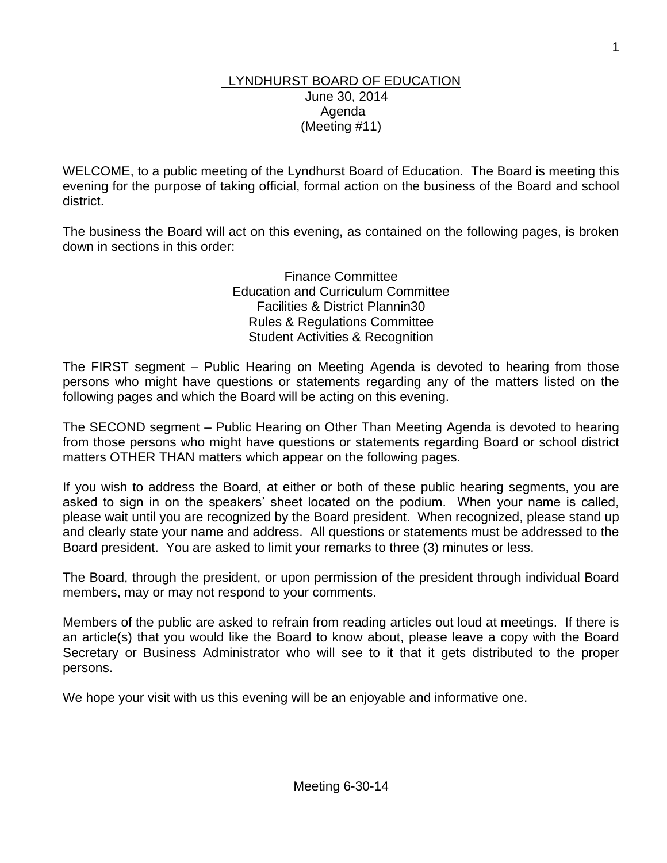#### LYNDHURST BOARD OF EDUCATION June 30, 2014 Agenda (Meeting #11)

WELCOME, to a public meeting of the Lyndhurst Board of Education. The Board is meeting this evening for the purpose of taking official, formal action on the business of the Board and school district.

The business the Board will act on this evening, as contained on the following pages, is broken down in sections in this order:

> Finance Committee Education and Curriculum Committee Facilities & District Plannin30 Rules & Regulations Committee Student Activities & Recognition

The FIRST segment – Public Hearing on Meeting Agenda is devoted to hearing from those persons who might have questions or statements regarding any of the matters listed on the following pages and which the Board will be acting on this evening.

The SECOND segment – Public Hearing on Other Than Meeting Agenda is devoted to hearing from those persons who might have questions or statements regarding Board or school district matters OTHER THAN matters which appear on the following pages.

If you wish to address the Board, at either or both of these public hearing segments, you are asked to sign in on the speakers' sheet located on the podium. When your name is called, please wait until you are recognized by the Board president. When recognized, please stand up and clearly state your name and address. All questions or statements must be addressed to the Board president. You are asked to limit your remarks to three (3) minutes or less.

The Board, through the president, or upon permission of the president through individual Board members, may or may not respond to your comments.

Members of the public are asked to refrain from reading articles out loud at meetings. If there is an article(s) that you would like the Board to know about, please leave a copy with the Board Secretary or Business Administrator who will see to it that it gets distributed to the proper persons.

We hope your visit with us this evening will be an enjoyable and informative one.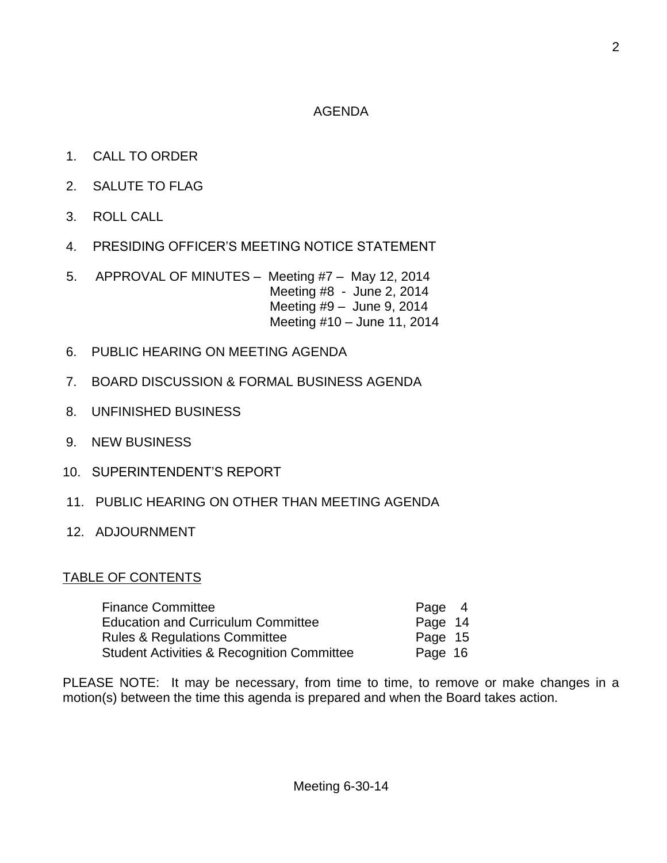#### AGENDA

- 1. CALL TO ORDER
- 2. SALUTE TO FLAG
- 3. ROLL CALL
- 4. PRESIDING OFFICER'S MEETING NOTICE STATEMENT
- 5. APPROVAL OF MINUTES Meeting #7 May 12, 2014 Meeting #8 - June 2, 2014 Meeting #9 – June 9, 2014 Meeting #10 – June 11, 2014
- 6. PUBLIC HEARING ON MEETING AGENDA
- 7. BOARD DISCUSSION & FORMAL BUSINESS AGENDA
- 8. UNFINISHED BUSINESS
- 9. NEW BUSINESS
- 10. SUPERINTENDENT'S REPORT
- 11. PUBLIC HEARING ON OTHER THAN MEETING AGENDA
- 12. ADJOURNMENT

### TABLE OF CONTENTS

| Finance Committee                                     | Page 4  |
|-------------------------------------------------------|---------|
| <b>Education and Curriculum Committee</b>             | Page 14 |
| <b>Rules &amp; Regulations Committee</b>              | Page 15 |
| <b>Student Activities &amp; Recognition Committee</b> | Page 16 |

PLEASE NOTE: It may be necessary, from time to time, to remove or make changes in a motion(s) between the time this agenda is prepared and when the Board takes action.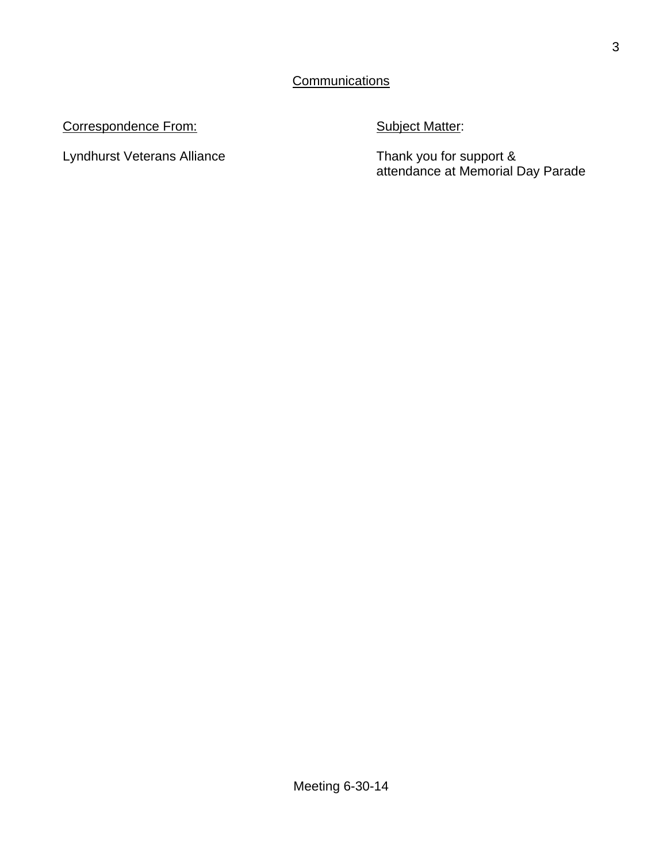#### Correspondence From: Subject Matter:

Lyndhurst Veterans Alliance

Thank you for support &<br>attendance at Memorial Day Parade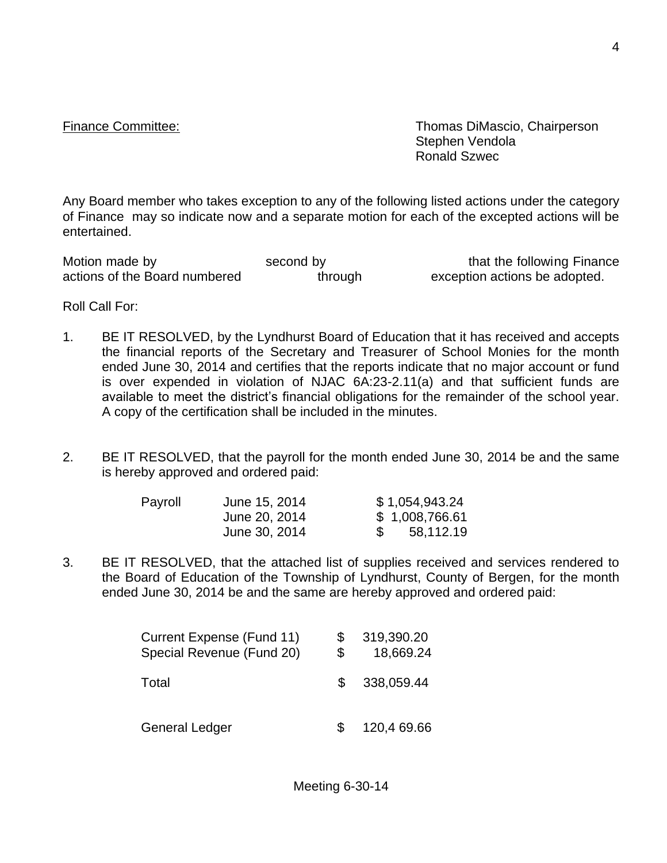Finance Committee: Thomas DiMascio, Chairperson Stephen Vendola Ronald Szwec

Any Board member who takes exception to any of the following listed actions under the category of Finance may so indicate now and a separate motion for each of the excepted actions will be entertained.

Motion made by second by second by that the following Finance<br>actions of the Board numbered through exception actions be adopted. actions of the Board numbered through exception actions be adopted.

Roll Call For:

- 1. BE IT RESOLVED, by the Lyndhurst Board of Education that it has received and accepts the financial reports of the Secretary and Treasurer of School Monies for the month ended June 30, 2014 and certifies that the reports indicate that no major account or fund is over expended in violation of NJAC 6A:23-2.11(a) and that sufficient funds are available to meet the district's financial obligations for the remainder of the school year. A copy of the certification shall be included in the minutes.
- 2. BE IT RESOLVED, that the payroll for the month ended June 30, 2014 be and the same is hereby approved and ordered paid:

| Payroll | June 15, 2014 | \$1,054,943.24 |
|---------|---------------|----------------|
|         | June 20, 2014 | \$1,008,766.61 |
|         | June 30, 2014 | 58,112.19      |

3. BE IT RESOLVED, that the attached list of supplies received and services rendered to the Board of Education of the Township of Lyndhurst, County of Bergen, for the month ended June 30, 2014 be and the same are hereby approved and ordered paid:

| Current Expense (Fund 11)<br>Special Revenue (Fund 20) | \$  | 319,390.20<br>18,669.24 |
|--------------------------------------------------------|-----|-------------------------|
| Total                                                  | \$. | 338,059.44              |
| <b>General Ledger</b>                                  | \$. | 120,4 69.66             |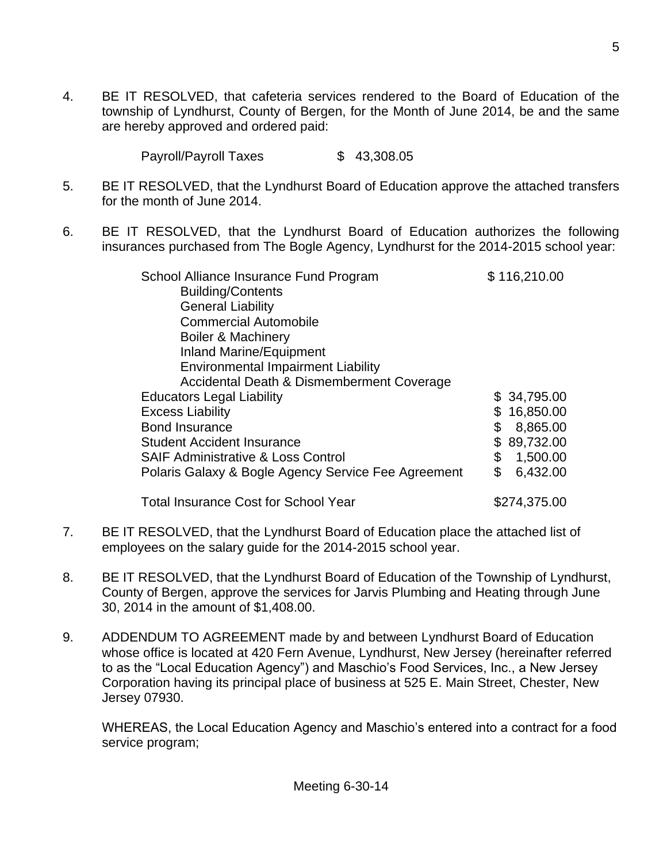4. BE IT RESOLVED, that cafeteria services rendered to the Board of Education of the township of Lyndhurst, County of Bergen, for the Month of June 2014, be and the same are hereby approved and ordered paid:

Payroll/Payroll Taxes \$ 43,308.05

- 5. BE IT RESOLVED, that the Lyndhurst Board of Education approve the attached transfers for the month of June 2014.
- 6. BE IT RESOLVED, that the Lyndhurst Board of Education authorizes the following insurances purchased from The Bogle Agency, Lyndhurst for the 2014-2015 school year:

| School Alliance Insurance Fund Program              | \$116,210.00    |
|-----------------------------------------------------|-----------------|
| <b>Building/Contents</b>                            |                 |
| <b>General Liability</b>                            |                 |
| <b>Commercial Automobile</b>                        |                 |
| <b>Boiler &amp; Machinery</b>                       |                 |
| <b>Inland Marine/Equipment</b>                      |                 |
| <b>Environmental Impairment Liability</b>           |                 |
| Accidental Death & Dismemberment Coverage           |                 |
| <b>Educators Legal Liability</b>                    | \$34,795.00     |
| <b>Excess Liability</b>                             | 16,850.00<br>\$ |
| <b>Bond Insurance</b>                               | \$<br>8,865.00  |
| <b>Student Accident Insurance</b>                   | 89,732.00       |
| <b>SAIF Administrative &amp; Loss Control</b>       | \$<br>1,500.00  |
| Polaris Galaxy & Bogle Agency Service Fee Agreement | \$<br>6,432.00  |
| <b>Total Insurance Cost for School Year</b>         | \$274,375.00    |

- 7. BE IT RESOLVED, that the Lyndhurst Board of Education place the attached list of employees on the salary guide for the 2014-2015 school year.
- 8. BE IT RESOLVED, that the Lyndhurst Board of Education of the Township of Lyndhurst, County of Bergen, approve the services for Jarvis Plumbing and Heating through June 30, 2014 in the amount of \$1,408.00.
- 9. ADDENDUM TO AGREEMENT made by and between Lyndhurst Board of Education whose office is located at 420 Fern Avenue, Lyndhurst, New Jersey (hereinafter referred to as the "Local Education Agency") and Maschio's Food Services, Inc., a New Jersey Corporation having its principal place of business at 525 E. Main Street, Chester, New Jersey 07930.

WHEREAS, the Local Education Agency and Maschio's entered into a contract for a food service program;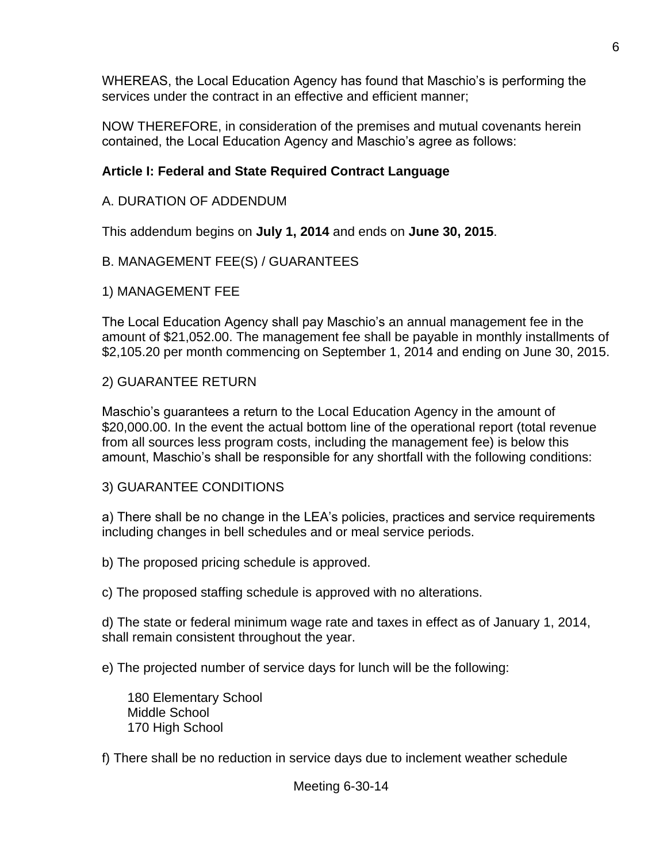WHEREAS, the Local Education Agency has found that Maschio's is performing the services under the contract in an effective and efficient manner;

NOW THEREFORE, in consideration of the premises and mutual covenants herein contained, the Local Education Agency and Maschio's agree as follows:

## **Article I: Federal and State Required Contract Language**

### A. DURATION OF ADDENDUM

This addendum begins on **July 1, 2014** and ends on **June 30, 2015**.

### B. MANAGEMENT FEE(S) / GUARANTEES

1) MANAGEMENT FEE

The Local Education Agency shall pay Maschio's an annual management fee in the amount of \$21,052.00. The management fee shall be payable in monthly installments of \$2,105.20 per month commencing on September 1, 2014 and ending on June 30, 2015.

### 2) GUARANTEE RETURN

Maschio's guarantees a return to the Local Education Agency in the amount of \$20,000.00. In the event the actual bottom line of the operational report (total revenue from all sources less program costs, including the management fee) is below this amount, Maschio's shall be responsible for any shortfall with the following conditions:

### 3) GUARANTEE CONDITIONS

a) There shall be no change in the LEA's policies, practices and service requirements including changes in bell schedules and or meal service periods.

b) The proposed pricing schedule is approved.

c) The proposed staffing schedule is approved with no alterations.

d) The state or federal minimum wage rate and taxes in effect as of January 1, 2014, shall remain consistent throughout the year.

e) The projected number of service days for lunch will be the following:

 180 Elementary School Middle School 170 High School

f) There shall be no reduction in service days due to inclement weather schedule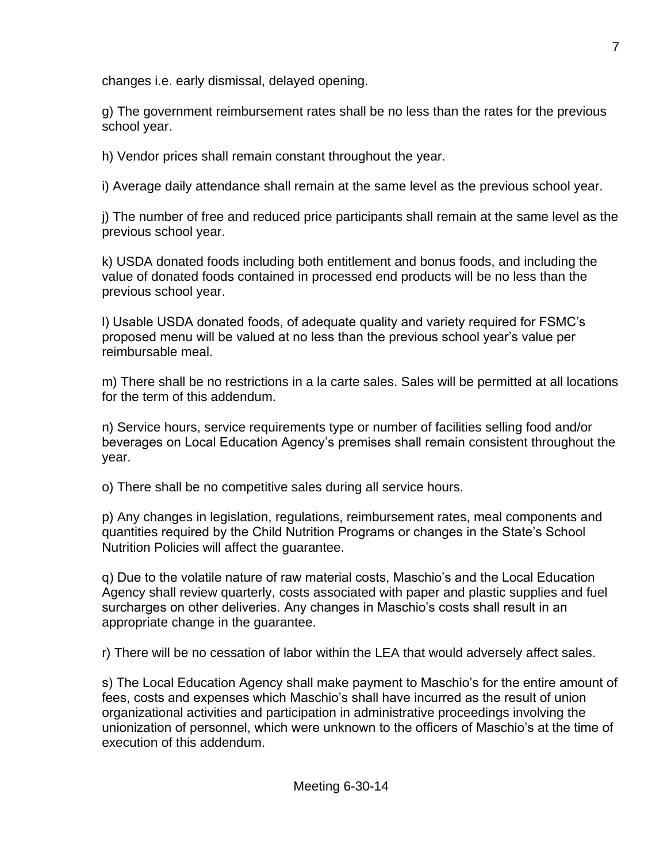changes i.e. early dismissal, delayed opening.

g) The government reimbursement rates shall be no less than the rates for the previous school year.

h) Vendor prices shall remain constant throughout the year.

i) Average daily attendance shall remain at the same level as the previous school year.

j) The number of free and reduced price participants shall remain at the same level as the previous school year.

k) USDA donated foods including both entitlement and bonus foods, and including the value of donated foods contained in processed end products will be no less than the previous school year.

l) Usable USDA donated foods, of adequate quality and variety required for FSMC's proposed menu will be valued at no less than the previous school year's value per reimbursable meal.

m) There shall be no restrictions in a la carte sales. Sales will be permitted at all locations for the term of this addendum.

n) Service hours, service requirements type or number of facilities selling food and/or beverages on Local Education Agency's premises shall remain consistent throughout the year.

o) There shall be no competitive sales during all service hours.

p) Any changes in legislation, regulations, reimbursement rates, meal components and quantities required by the Child Nutrition Programs or changes in the State's School Nutrition Policies will affect the guarantee.

q) Due to the volatile nature of raw material costs, Maschio's and the Local Education Agency shall review quarterly, costs associated with paper and plastic supplies and fuel surcharges on other deliveries. Any changes in Maschio's costs shall result in an appropriate change in the guarantee.

r) There will be no cessation of labor within the LEA that would adversely affect sales.

s) The Local Education Agency shall make payment to Maschio's for the entire amount of fees, costs and expenses which Maschio's shall have incurred as the result of union organizational activities and participation in administrative proceedings involving the unionization of personnel, which were unknown to the officers of Maschio's at the time of execution of this addendum.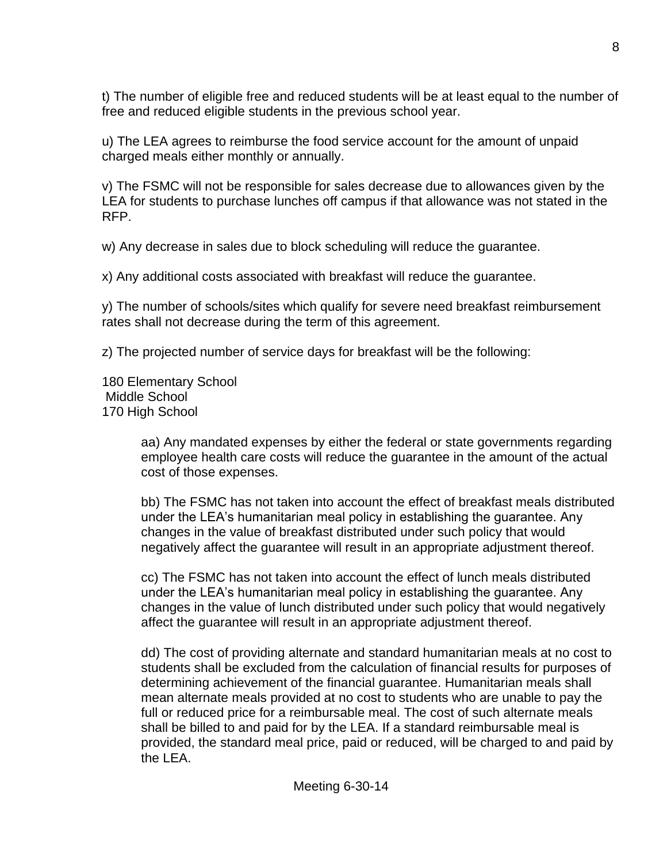t) The number of eligible free and reduced students will be at least equal to the number of free and reduced eligible students in the previous school year.

u) The LEA agrees to reimburse the food service account for the amount of unpaid charged meals either monthly or annually.

v) The FSMC will not be responsible for sales decrease due to allowances given by the LEA for students to purchase lunches off campus if that allowance was not stated in the RFP.

w) Any decrease in sales due to block scheduling will reduce the guarantee.

x) Any additional costs associated with breakfast will reduce the guarantee.

y) The number of schools/sites which qualify for severe need breakfast reimbursement rates shall not decrease during the term of this agreement.

z) The projected number of service days for breakfast will be the following:

180 Elementary School Middle School 170 High School

> aa) Any mandated expenses by either the federal or state governments regarding employee health care costs will reduce the guarantee in the amount of the actual cost of those expenses.

> bb) The FSMC has not taken into account the effect of breakfast meals distributed under the LEA's humanitarian meal policy in establishing the guarantee. Any changes in the value of breakfast distributed under such policy that would negatively affect the guarantee will result in an appropriate adjustment thereof.

cc) The FSMC has not taken into account the effect of lunch meals distributed under the LEA's humanitarian meal policy in establishing the guarantee. Any changes in the value of lunch distributed under such policy that would negatively affect the guarantee will result in an appropriate adjustment thereof.

dd) The cost of providing alternate and standard humanitarian meals at no cost to students shall be excluded from the calculation of financial results for purposes of determining achievement of the financial guarantee. Humanitarian meals shall mean alternate meals provided at no cost to students who are unable to pay the full or reduced price for a reimbursable meal. The cost of such alternate meals shall be billed to and paid for by the LEA. If a standard reimbursable meal is provided, the standard meal price, paid or reduced, will be charged to and paid by the LEA.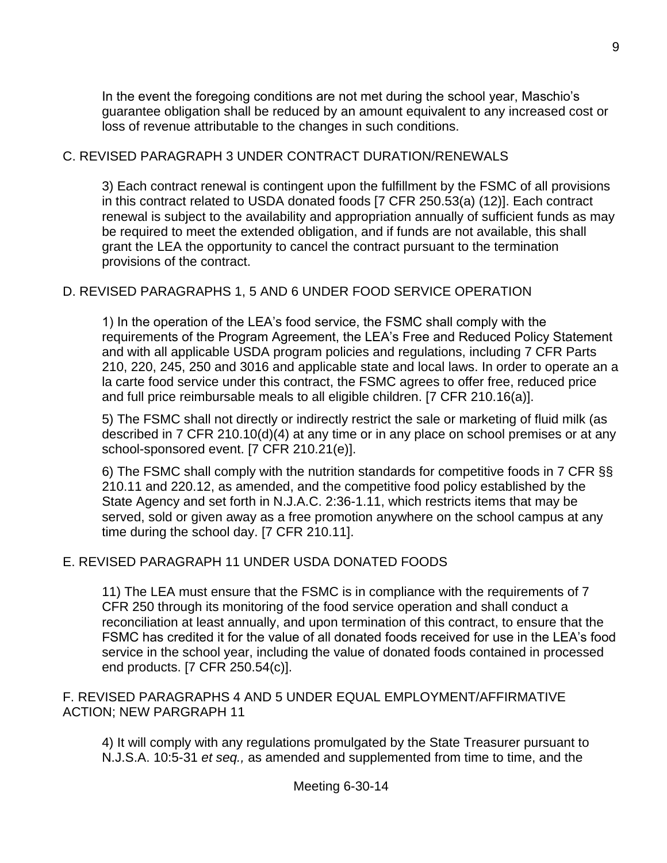In the event the foregoing conditions are not met during the school year, Maschio's guarantee obligation shall be reduced by an amount equivalent to any increased cost or loss of revenue attributable to the changes in such conditions.

#### C. REVISED PARAGRAPH 3 UNDER CONTRACT DURATION/RENEWALS

3) Each contract renewal is contingent upon the fulfillment by the FSMC of all provisions in this contract related to USDA donated foods [7 CFR 250.53(a) (12)]. Each contract renewal is subject to the availability and appropriation annually of sufficient funds as may be required to meet the extended obligation, and if funds are not available, this shall grant the LEA the opportunity to cancel the contract pursuant to the termination provisions of the contract.

#### D. REVISED PARAGRAPHS 1, 5 AND 6 UNDER FOOD SERVICE OPERATION

1) In the operation of the LEA's food service, the FSMC shall comply with the requirements of the Program Agreement, the LEA's Free and Reduced Policy Statement and with all applicable USDA program policies and regulations, including 7 CFR Parts 210, 220, 245, 250 and 3016 and applicable state and local laws. In order to operate an a la carte food service under this contract, the FSMC agrees to offer free, reduced price and full price reimbursable meals to all eligible children. [7 CFR 210.16(a)].

5) The FSMC shall not directly or indirectly restrict the sale or marketing of fluid milk (as described in 7 CFR 210.10(d)(4) at any time or in any place on school premises or at any school-sponsored event. [7 CFR 210.21(e)].

6) The FSMC shall comply with the nutrition standards for competitive foods in 7 CFR §§ 210.11 and 220.12, as amended, and the competitive food policy established by the State Agency and set forth in N.J.A.C. 2:36-1.11, which restricts items that may be served, sold or given away as a free promotion anywhere on the school campus at any time during the school day. [7 CFR 210.11].

### E. REVISED PARAGRAPH 11 UNDER USDA DONATED FOODS

11) The LEA must ensure that the FSMC is in compliance with the requirements of 7 CFR 250 through its monitoring of the food service operation and shall conduct a reconciliation at least annually, and upon termination of this contract, to ensure that the FSMC has credited it for the value of all donated foods received for use in the LEA's food service in the school year, including the value of donated foods contained in processed end products. [7 CFR 250.54(c)].

#### F. REVISED PARAGRAPHS 4 AND 5 UNDER EQUAL EMPLOYMENT/AFFIRMATIVE ACTION; NEW PARGRAPH 11

4) It will comply with any regulations promulgated by the State Treasurer pursuant to N.J.S.A. 10:5-31 *et seq.,* as amended and supplemented from time to time, and the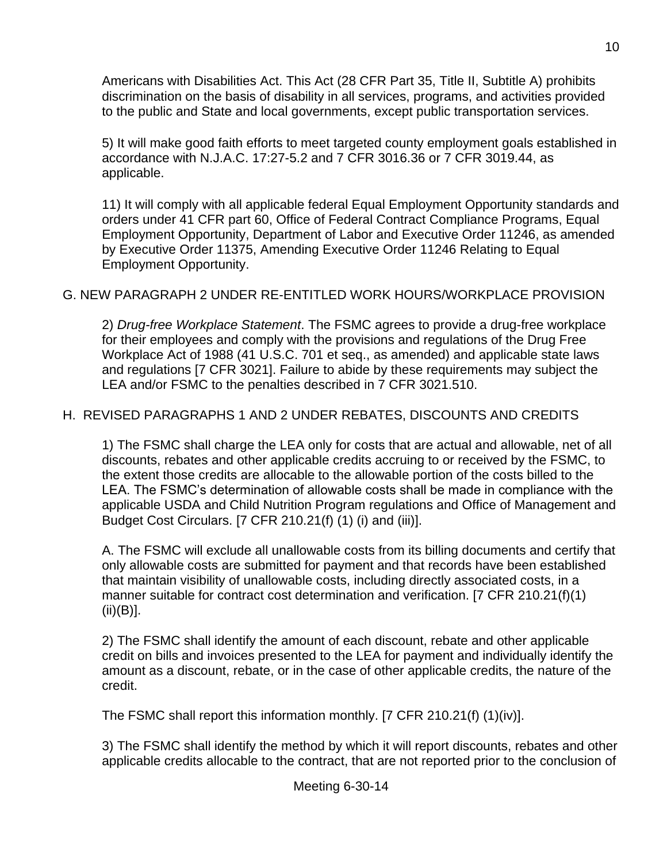Americans with Disabilities Act. This Act (28 CFR Part 35, Title II, Subtitle A) prohibits discrimination on the basis of disability in all services, programs, and activities provided to the public and State and local governments, except public transportation services.

5) It will make good faith efforts to meet targeted county employment goals established in accordance with N.J.A.C. 17:27-5.2 and 7 CFR 3016.36 or 7 CFR 3019.44, as applicable.

11) It will comply with all applicable federal Equal Employment Opportunity standards and orders under 41 CFR part 60, Office of Federal Contract Compliance Programs, Equal Employment Opportunity, Department of Labor and Executive Order 11246, as amended by Executive Order 11375, Amending Executive Order 11246 Relating to Equal Employment Opportunity.

# G. NEW PARAGRAPH 2 UNDER RE-ENTITLED WORK HOURS/WORKPLACE PROVISION

2) *Drug-free Workplace Statement*. The FSMC agrees to provide a drug-free workplace for their employees and comply with the provisions and regulations of the Drug Free Workplace Act of 1988 (41 U.S.C. 701 et seq., as amended) and applicable state laws and regulations [7 CFR 3021]. Failure to abide by these requirements may subject the LEA and/or FSMC to the penalties described in 7 CFR 3021.510.

### H. REVISED PARAGRAPHS 1 AND 2 UNDER REBATES, DISCOUNTS AND CREDITS

1) The FSMC shall charge the LEA only for costs that are actual and allowable, net of all discounts, rebates and other applicable credits accruing to or received by the FSMC, to the extent those credits are allocable to the allowable portion of the costs billed to the LEA. The FSMC's determination of allowable costs shall be made in compliance with the applicable USDA and Child Nutrition Program regulations and Office of Management and Budget Cost Circulars. [7 CFR 210.21(f) (1) (i) and (iii)].

A. The FSMC will exclude all unallowable costs from its billing documents and certify that only allowable costs are submitted for payment and that records have been established that maintain visibility of unallowable costs, including directly associated costs, in a manner suitable for contract cost determination and verification. [7 CFR 210.21(f)(1)  $(ii)(B)].$ 

2) The FSMC shall identify the amount of each discount, rebate and other applicable credit on bills and invoices presented to the LEA for payment and individually identify the amount as a discount, rebate, or in the case of other applicable credits, the nature of the credit.

The FSMC shall report this information monthly. [7 CFR 210.21(f) (1)(iv)].

3) The FSMC shall identify the method by which it will report discounts, rebates and other applicable credits allocable to the contract, that are not reported prior to the conclusion of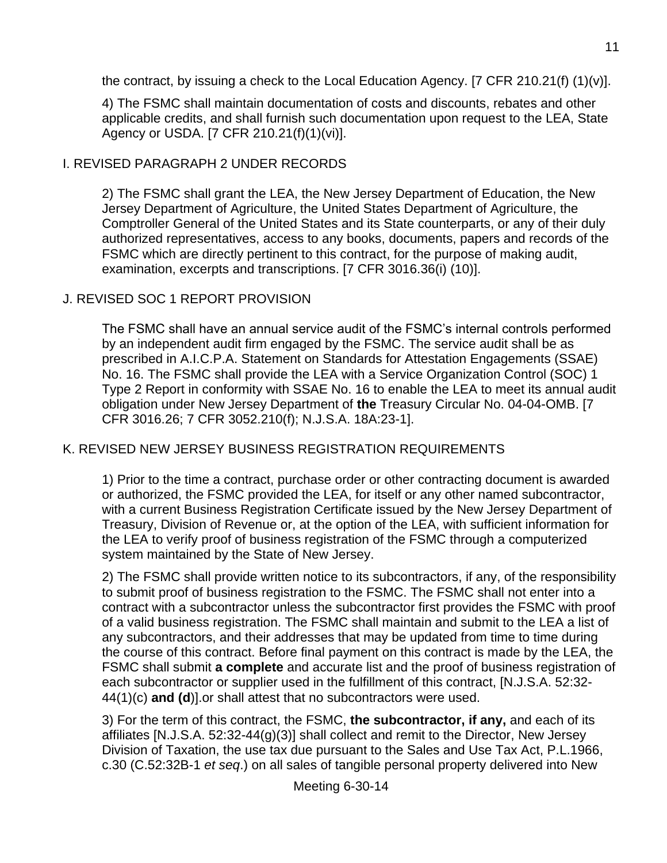the contract, by issuing a check to the Local Education Agency. [7 CFR 210.21(f)  $(1)(v)$ ].

4) The FSMC shall maintain documentation of costs and discounts, rebates and other applicable credits, and shall furnish such documentation upon request to the LEA, State Agency or USDA. [7 CFR 210.21(f)(1)(vi)].

# I. REVISED PARAGRAPH 2 UNDER RECORDS

2) The FSMC shall grant the LEA, the New Jersey Department of Education, the New Jersey Department of Agriculture, the United States Department of Agriculture, the Comptroller General of the United States and its State counterparts, or any of their duly authorized representatives, access to any books, documents, papers and records of the FSMC which are directly pertinent to this contract, for the purpose of making audit, examination, excerpts and transcriptions. [7 CFR 3016.36(i) (10)].

# J. REVISED SOC 1 REPORT PROVISION

The FSMC shall have an annual service audit of the FSMC's internal controls performed by an independent audit firm engaged by the FSMC. The service audit shall be as prescribed in A.I.C.P.A. Statement on Standards for Attestation Engagements (SSAE) No. 16. The FSMC shall provide the LEA with a Service Organization Control (SOC) 1 Type 2 Report in conformity with SSAE No. 16 to enable the LEA to meet its annual audit obligation under New Jersey Department of **the** Treasury Circular No. 04-04-OMB. [7 CFR 3016.26; 7 CFR 3052.210(f); N.J.S.A. 18A:23-1].

### K. REVISED NEW JERSEY BUSINESS REGISTRATION REQUIREMENTS

1) Prior to the time a contract, purchase order or other contracting document is awarded or authorized, the FSMC provided the LEA, for itself or any other named subcontractor, with a current Business Registration Certificate issued by the New Jersey Department of Treasury, Division of Revenue or, at the option of the LEA, with sufficient information for the LEA to verify proof of business registration of the FSMC through a computerized system maintained by the State of New Jersey.

2) The FSMC shall provide written notice to its subcontractors, if any, of the responsibility to submit proof of business registration to the FSMC. The FSMC shall not enter into a contract with a subcontractor unless the subcontractor first provides the FSMC with proof of a valid business registration. The FSMC shall maintain and submit to the LEA a list of any subcontractors, and their addresses that may be updated from time to time during the course of this contract. Before final payment on this contract is made by the LEA, the FSMC shall submit **a complete** and accurate list and the proof of business registration of each subcontractor or supplier used in the fulfillment of this contract, [N.J.S.A. 52:32- 44(1)(c) **and (d**)].or shall attest that no subcontractors were used.

3) For the term of this contract, the FSMC, **the subcontractor, if any,** and each of its affiliates [N.J.S.A. 52:32-44(g)(3)] shall collect and remit to the Director, New Jersey Division of Taxation, the use tax due pursuant to the Sales and Use Tax Act, P.L.1966, c.30 (C.52:32B-1 *et seq*.) on all sales of tangible personal property delivered into New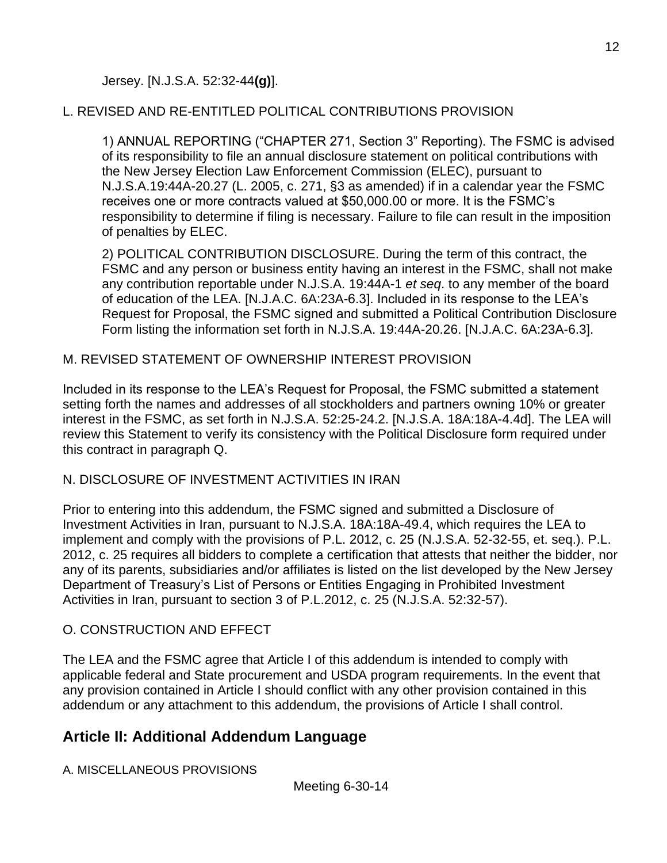# L. REVISED AND RE-ENTITLED POLITICAL CONTRIBUTIONS PROVISION

1) ANNUAL REPORTING ("CHAPTER 271, Section 3" Reporting). The FSMC is advised of its responsibility to file an annual disclosure statement on political contributions with the New Jersey Election Law Enforcement Commission (ELEC), pursuant to N.J.S.A.19:44A-20.27 (L. 2005, c. 271, §3 as amended) if in a calendar year the FSMC receives one or more contracts valued at \$50,000.00 or more. It is the FSMC's responsibility to determine if filing is necessary. Failure to file can result in the imposition of penalties by ELEC.

2) POLITICAL CONTRIBUTION DISCLOSURE. During the term of this contract, the FSMC and any person or business entity having an interest in the FSMC, shall not make any contribution reportable under N.J.S.A. 19:44A-1 *et seq*. to any member of the board of education of the LEA. [N.J.A.C. 6A:23A-6.3]. Included in its response to the LEA's Request for Proposal, the FSMC signed and submitted a Political Contribution Disclosure Form listing the information set forth in N.J.S.A. 19:44A-20.26. [N.J.A.C. 6A:23A-6.3].

### M. REVISED STATEMENT OF OWNERSHIP INTEREST PROVISION

Included in its response to the LEA's Request for Proposal, the FSMC submitted a statement setting forth the names and addresses of all stockholders and partners owning 10% or greater interest in the FSMC, as set forth in N.J.S.A. 52:25-24.2. [N.J.S.A. 18A:18A-4.4d]. The LEA will review this Statement to verify its consistency with the Political Disclosure form required under this contract in paragraph Q.

### N. DISCLOSURE OF INVESTMENT ACTIVITIES IN IRAN

Prior to entering into this addendum, the FSMC signed and submitted a Disclosure of Investment Activities in Iran, pursuant to N.J.S.A. 18A:18A-49.4, which requires the LEA to implement and comply with the provisions of P.L. 2012, c. 25 (N.J.S.A. 52-32-55, et. seq.). P.L. 2012, c. 25 requires all bidders to complete a certification that attests that neither the bidder, nor any of its parents, subsidiaries and/or affiliates is listed on the list developed by the New Jersey Department of Treasury's List of Persons or Entities Engaging in Prohibited Investment Activities in Iran, pursuant to section 3 of P.L.2012, c. 25 (N.J.S.A. 52:32-57).

### O. CONSTRUCTION AND EFFECT

The LEA and the FSMC agree that Article I of this addendum is intended to comply with applicable federal and State procurement and USDA program requirements. In the event that any provision contained in Article I should conflict with any other provision contained in this addendum or any attachment to this addendum, the provisions of Article I shall control.

# **Article II: Additional Addendum Language**

A. MISCELLANEOUS PROVISIONS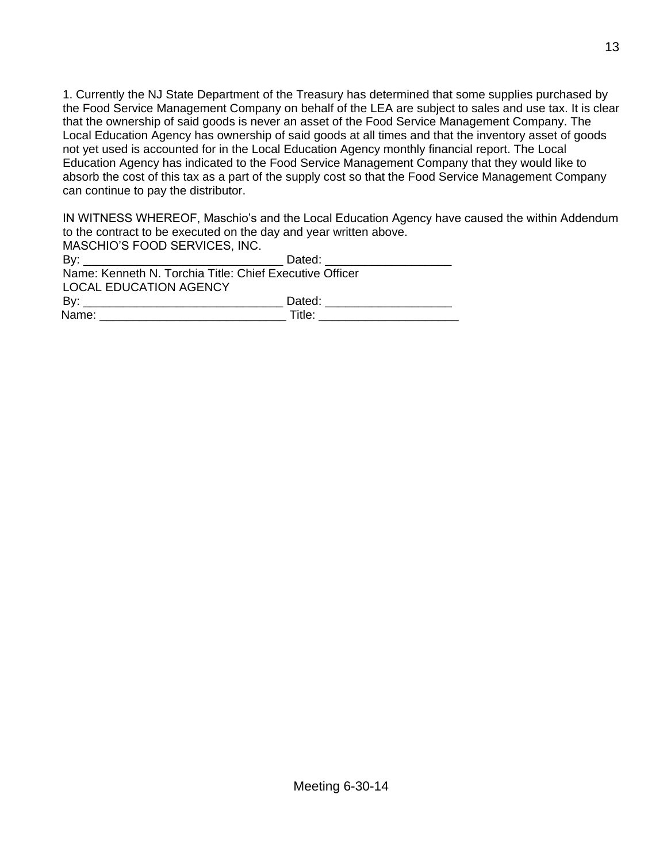1. Currently the NJ State Department of the Treasury has determined that some supplies purchased by the Food Service Management Company on behalf of the LEA are subject to sales and use tax. It is clear that the ownership of said goods is never an asset of the Food Service Management Company. The Local Education Agency has ownership of said goods at all times and that the inventory asset of goods not yet used is accounted for in the Local Education Agency monthly financial report. The Local Education Agency has indicated to the Food Service Management Company that they would like to absorb the cost of this tax as a part of the supply cost so that the Food Service Management Company can continue to pay the distributor.

IN WITNESS WHEREOF, Maschio's and the Local Education Agency have caused the within Addendum to the contract to be executed on the day and year written above. MASCHIO'S FOOD SERVICES, INC.

| INASULIIU S FUUD SERVIUES, INU.                         |                                                                                                                                                                                                                                |  |  |
|---------------------------------------------------------|--------------------------------------------------------------------------------------------------------------------------------------------------------------------------------------------------------------------------------|--|--|
|                                                         | Dated: ________________                                                                                                                                                                                                        |  |  |
| Name: Kenneth N. Torchia Title: Chief Executive Officer |                                                                                                                                                                                                                                |  |  |
| <b>LOCAL EDUCATION AGENCY</b>                           |                                                                                                                                                                                                                                |  |  |
|                                                         | Dated: the contract of the contract of the contract of the contract of the contract of the contract of the contract of the contract of the contract of the contract of the contract of the contract of the contract of the con |  |  |
|                                                         | Title:                                                                                                                                                                                                                         |  |  |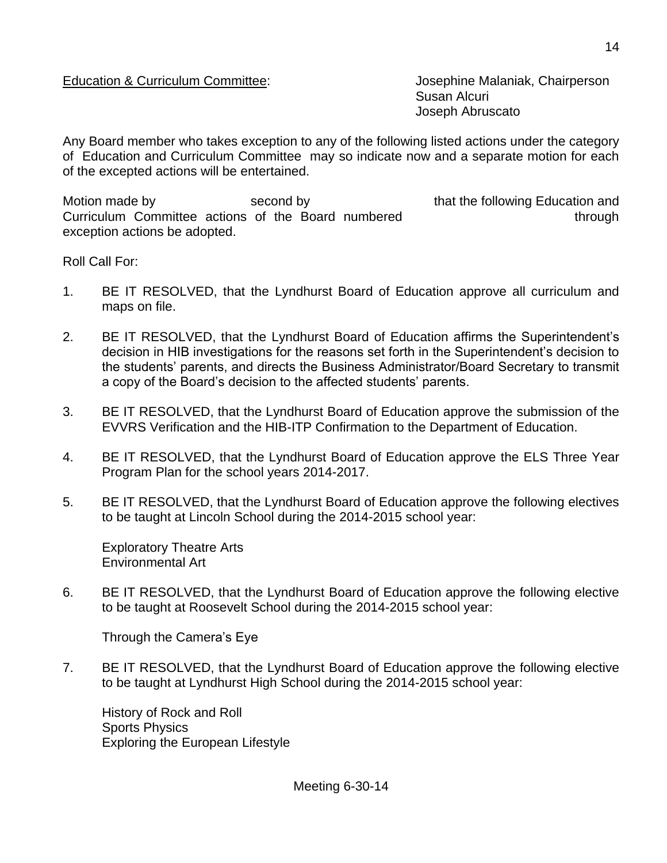#### Education & Curriculum Committee: Josephine Malaniak, Chairperson

Susan Alcuri Joseph Abruscato

Any Board member who takes exception to any of the following listed actions under the category of Education and Curriculum Committee may so indicate now and a separate motion for each of the excepted actions will be entertained.

Motion made by second by second by that the following Education and Curriculum Committee actions of the Board numbered through through exception actions be adopted.

Roll Call For:

- 1. BE IT RESOLVED, that the Lyndhurst Board of Education approve all curriculum and maps on file.
- 2. BE IT RESOLVED, that the Lyndhurst Board of Education affirms the Superintendent's decision in HIB investigations for the reasons set forth in the Superintendent's decision to the students' parents, and directs the Business Administrator/Board Secretary to transmit a copy of the Board's decision to the affected students' parents.
- 3. BE IT RESOLVED, that the Lyndhurst Board of Education approve the submission of the EVVRS Verification and the HIB-ITP Confirmation to the Department of Education.
- 4. BE IT RESOLVED, that the Lyndhurst Board of Education approve the ELS Three Year Program Plan for the school years 2014-2017.
- 5. BE IT RESOLVED, that the Lyndhurst Board of Education approve the following electives to be taught at Lincoln School during the 2014-2015 school year:

Exploratory Theatre Arts Environmental Art

6. BE IT RESOLVED, that the Lyndhurst Board of Education approve the following elective to be taught at Roosevelt School during the 2014-2015 school year:

Through the Camera's Eye

7. BE IT RESOLVED, that the Lyndhurst Board of Education approve the following elective to be taught at Lyndhurst High School during the 2014-2015 school year:

History of Rock and Roll Sports Physics Exploring the European Lifestyle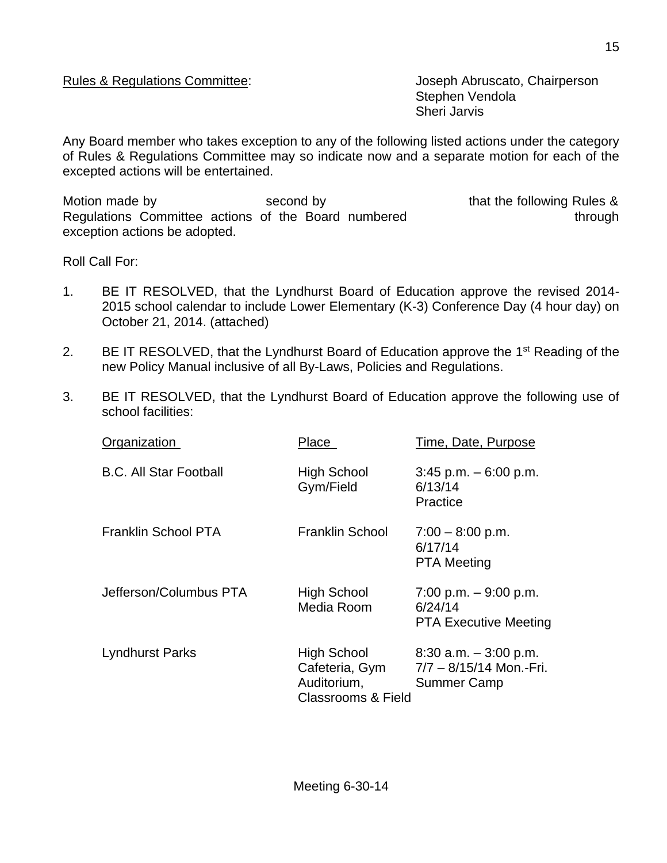Stephen Vendola Sheri Jarvis

Any Board member who takes exception to any of the following listed actions under the category of Rules & Regulations Committee may so indicate now and a separate motion for each of the excepted actions will be entertained.

Motion made by Second by Second by that the following Rules & Regulations Committee actions of the Board numbered through through exception actions be adopted.

Roll Call For:

- 1. BE IT RESOLVED, that the Lyndhurst Board of Education approve the revised 2014- 2015 school calendar to include Lower Elementary (K-3) Conference Day (4 hour day) on October 21, 2014. (attached)
- 2. BE IT RESOLVED, that the Lyndhurst Board of Education approve the 1<sup>st</sup> Reading of the new Policy Manual inclusive of all By-Laws, Policies and Regulations.
- 3. BE IT RESOLVED, that the Lyndhurst Board of Education approve the following use of school facilities:

| Organization                  | Place                                                                                | Time, Date, Purpose                                                       |
|-------------------------------|--------------------------------------------------------------------------------------|---------------------------------------------------------------------------|
| <b>B.C. All Star Football</b> | <b>High School</b><br>Gym/Field                                                      | $3:45$ p.m. $-6:00$ p.m.<br>6/13/14<br>Practice                           |
| <b>Franklin School PTA</b>    | <b>Franklin School</b>                                                               | $7:00 - 8:00$ p.m.<br>6/17/14<br><b>PTA Meeting</b>                       |
| Jefferson/Columbus PTA        | <b>High School</b><br>Media Room                                                     | $7:00$ p.m. $-9:00$ p.m.<br>6/24/14<br><b>PTA Executive Meeting</b>       |
| <b>Lyndhurst Parks</b>        | <b>High School</b><br>Cafeteria, Gym<br>Auditorium,<br><b>Classrooms &amp; Field</b> | $8:30$ a.m. $-3:00$ p.m.<br>7/7 - 8/15/14 Mon.-Fri.<br><b>Summer Camp</b> |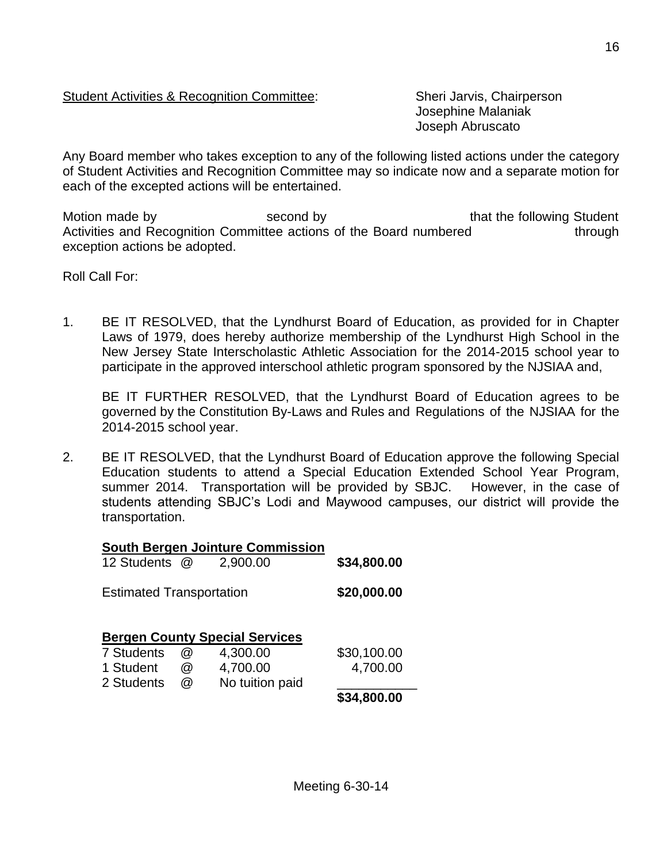#### Student Activities & Recognition Committee: Sheri Jarvis, Chairperson

Josephine Malaniak Joseph Abruscato

Any Board member who takes exception to any of the following listed actions under the category of Student Activities and Recognition Committee may so indicate now and a separate motion for each of the excepted actions will be entertained.

Motion made by **Second by** second by that the following Student Activities and Recognition Committee actions of the Board numbered through exception actions be adopted.

Roll Call For:

1. BE IT RESOLVED, that the Lyndhurst Board of Education, as provided for in Chapter Laws of 1979, does hereby authorize membership of the Lyndhurst High School in the New Jersey State Interscholastic Athletic Association for the 2014-2015 school year to participate in the approved interschool athletic program sponsored by the NJSIAA and,

BE IT FURTHER RESOLVED, that the Lyndhurst Board of Education agrees to be governed by the Constitution By-Laws and Rules and Regulations of the NJSIAA for the 2014-2015 school year.

2. BE IT RESOLVED, that the Lyndhurst Board of Education approve the following Special Education students to attend a Special Education Extended School Year Program, summer 2014. Transportation will be provided by SBJC. However, in the case of students attending SBJC's Lodi and Maywood campuses, our district will provide the transportation.

#### **South Bergen Jointure Commission**

| 12 Students                     | $\omega$ | 2,900.00                              | \$34,800.00 |
|---------------------------------|----------|---------------------------------------|-------------|
| <b>Estimated Transportation</b> |          |                                       | \$20,000.00 |
| 7 Students                      |          | <b>Bergen County Special Services</b> |             |
|                                 | @        | 4,300.00                              | \$30,100.00 |
| 1 Student                       | @        | 4,700.00                              | 4,700.00    |
| 2 Students                      | @        | No tuition paid                       |             |
|                                 |          |                                       | \$34,800.00 |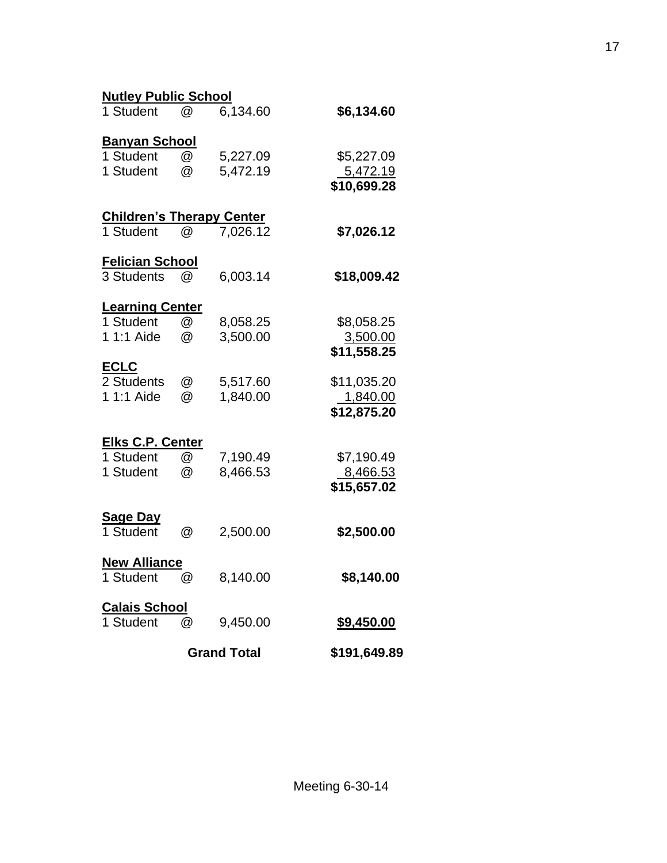| <b>Nutley Public School</b>      |                           |                    |                         |
|----------------------------------|---------------------------|--------------------|-------------------------|
| 1 Student                        | $^{\textregistered}$      | 6,134.60           | \$6,134.60              |
| <b>Banyan School</b>             |                           |                    |                         |
| 1 Student                        | @                         | 5,227.09           | \$5,227.09              |
| 1 Student                        | @                         | 5,472.19           | <u>5,472.19</u>         |
|                                  |                           |                    | \$10,699.28             |
| <b>Children's Therapy Center</b> |                           |                    |                         |
| 1 Student                        | @                         | 7,026.12           | \$7,026.12              |
| <u>Felician School</u>           |                           |                    |                         |
| 3 Students                       | $(\alpha)$                | 6,003.14           | \$18,009.42             |
| <b>Learning Center</b>           |                           |                    |                         |
| 1 Student                        | $^\text{\textregistered}$ | 8,058.25           | \$8,058.25              |
| 1 1:1 Aide                       | @                         | 3,500.00           | 3,500.00                |
|                                  |                           |                    | \$11,558.25             |
| <b>ECLC</b>                      |                           |                    |                         |
| 2 Students<br>1 1:1 Aide         | @<br>@                    | 5,517.60           | \$11,035.20             |
|                                  |                           | 1,840.00           | 1,840.00<br>\$12,875.20 |
|                                  |                           |                    |                         |
| <b>Elks C.P. Center</b>          |                           |                    |                         |
| 1 Student                        | @                         | 7,190.49           | \$7,190.49              |
| 1 Student                        | @                         | 8,466.53           | <u>8,466.53</u>         |
|                                  |                           |                    | \$15,657.02             |
| <b>Sage Day</b>                  |                           |                    |                         |
| 1 Student                        | @                         | 2,500.00           | \$2,500.00              |
| <b>New Alliance</b>              |                           |                    |                         |
| 1 Student                        | @                         | 8,140.00           | \$8,140.00              |
| <b>Calais School</b>             |                           |                    |                         |
| 1 Student                        | @                         | 9,450.00           | <u>\$9,450.00</u>       |
|                                  |                           | <b>Grand Total</b> | \$191,649.89            |

17